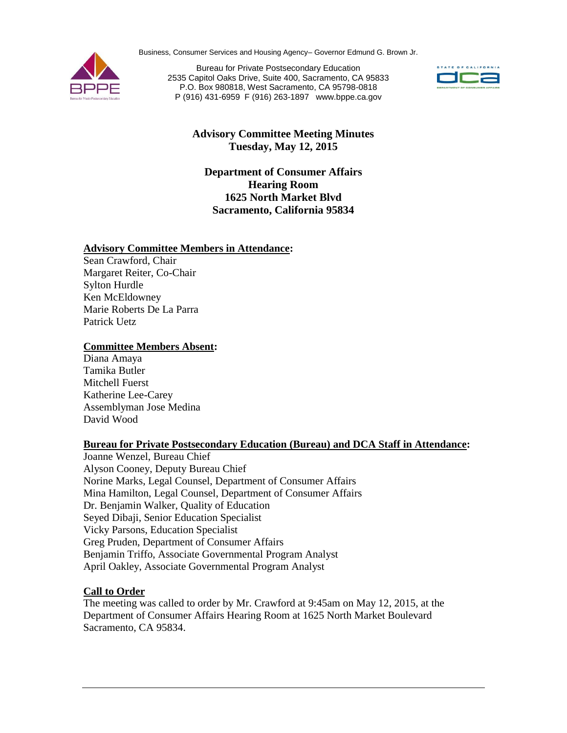Business, Consumer Services and Housing Agency– Governor Edmund G. Brown Jr.



 P (916) 431-6959 F (916) 263-1897 [www.bppe.ca.gov](http://www.bppe.ca.gov) Bureau for Private Postsecondary Education 2535 Capitol Oaks Drive, Suite 400, Sacramento, CA 95833 P.O. Box 980818, West Sacramento, CA 95798-0818



# **Advisory Committee Meeting Minutes Tuesday, May 12, 2015**

**Department of Consumer Affairs Hearing Room 1625 North Market Blvd Sacramento, California 95834**

## **Advisory Committee Members in Attendance:**

Sean Crawford, Chair Margaret Reiter, Co-Chair Sylton Hurdle Ken McEldowney Marie Roberts De La Parra Patrick Uetz

### **Committee Members Absent:**

Diana Amaya Tamika Butler Mitchell Fuerst Katherine Lee-Carey Assemblyman Jose Medina David Wood

### **Bureau for Private Postsecondary Education (Bureau) and DCA Staff in Attendance:**

Alyson Cooney, Deputy Bureau Chief Benjamin Triffo, Associate Governmental Program Analyst Joanne Wenzel, Bureau Chief Norine Marks, Legal Counsel, Department of Consumer Affairs Mina Hamilton, Legal Counsel, Department of Consumer Affairs Dr. Benjamin Walker, Quality of Education Seyed Dibaji, Senior Education Specialist Vicky Parsons, Education Specialist Greg Pruden, Department of Consumer Affairs April Oakley, Associate Governmental Program Analyst

## **Call to Order**

 Sacramento, CA 95834. The meeting was called to order by Mr. Crawford at 9:45am on May 12, 2015, at the Department of Consumer Affairs Hearing Room at 1625 North Market Boulevard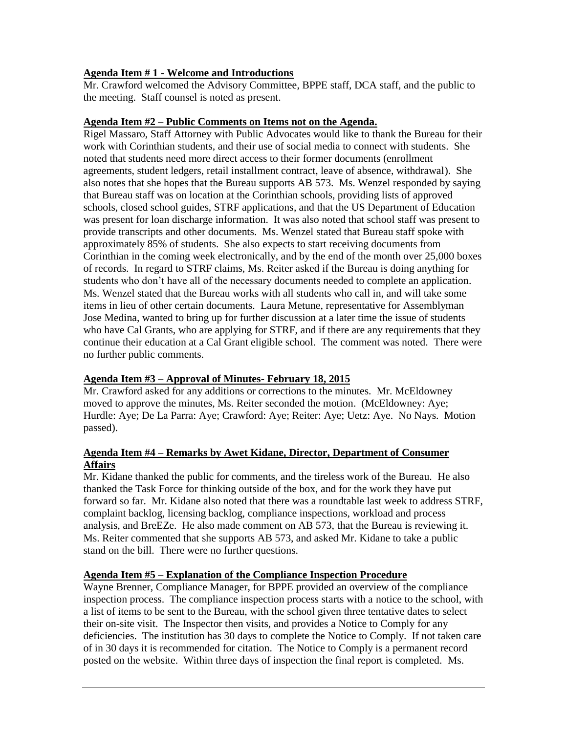# **Agenda Item # 1 - Welcome and Introductions**

Mr. Crawford welcomed the Advisory Committee, BPPE staff, DCA staff, and the public to the meeting. Staff counsel is noted as present.

## **Agenda Item #2 – Public Comments on Items not on the Agenda.**

 was present for loan discharge information. It was also noted that school staff was present to Ms. Wenzel stated that the Bureau works with all students who call in, and will take some who have Cal Grants, who are applying for STRF, and if there are any requirements that they no further public comments. Rigel Massaro, Staff Attorney with Public Advocates would like to thank the Bureau for their work with Corinthian students, and their use of social media to connect with students. She noted that students need more direct access to their former documents (enrollment agreements, student ledgers, retail installment contract, leave of absence, withdrawal). She also notes that she hopes that the Bureau supports AB 573. Ms. Wenzel responded by saying that Bureau staff was on location at the Corinthian schools, providing lists of approved schools, closed school guides, STRF applications, and that the US Department of Education provide transcripts and other documents. Ms. Wenzel stated that Bureau staff spoke with approximately 85% of students. She also expects to start receiving documents from Corinthian in the coming week electronically, and by the end of the month over 25,000 boxes of records. In regard to STRF claims, Ms. Reiter asked if the Bureau is doing anything for students who don't have all of the necessary documents needed to complete an application. items in lieu of other certain documents. Laura Metune, representative for Assemblyman Jose Medina, wanted to bring up for further discussion at a later time the issue of students continue their education at a Cal Grant eligible school. The comment was noted. There were

# **Agenda Item #3 – Approval of Minutes- February 18, 2015**

 passed). Mr. Crawford asked for any additions or corrections to the minutes. Mr. McEldowney moved to approve the minutes, Ms. Reiter seconded the motion. (McEldowney: Aye; Hurdle: Aye; De La Parra: Aye; Crawford: Aye; Reiter: Aye; Uetz: Aye. No Nays. Motion

## **Agenda Item #4 – Remarks by Awet Kidane, Director, Department of Consumer Affairs**

 thanked the Task Force for thinking outside of the box, and for the work they have put analysis, and BreEZe. He also made comment on AB 573, that the Bureau is reviewing it. stand on the bill. There were no further questions. Mr. Kidane thanked the public for comments, and the tireless work of the Bureau. He also forward so far. Mr. Kidane also noted that there was a roundtable last week to address STRF, complaint backlog, licensing backlog, compliance inspections, workload and process Ms. Reiter commented that she supports AB 573, and asked Mr. Kidane to take a public

# **Agenda Item #5 – Explanation of the Compliance Inspection Procedure**

 a list of items to be sent to the Bureau, with the school given three tentative dates to select their on-site visit. The Inspector then visits, and provides a Notice to Comply for any Wayne Brenner, Compliance Manager, for BPPE provided an overview of the compliance inspection process. The compliance inspection process starts with a notice to the school, with deficiencies. The institution has 30 days to complete the Notice to Comply. If not taken care of in 30 days it is recommended for citation. The Notice to Comply is a permanent record posted on the website. Within three days of inspection the final report is completed. Ms.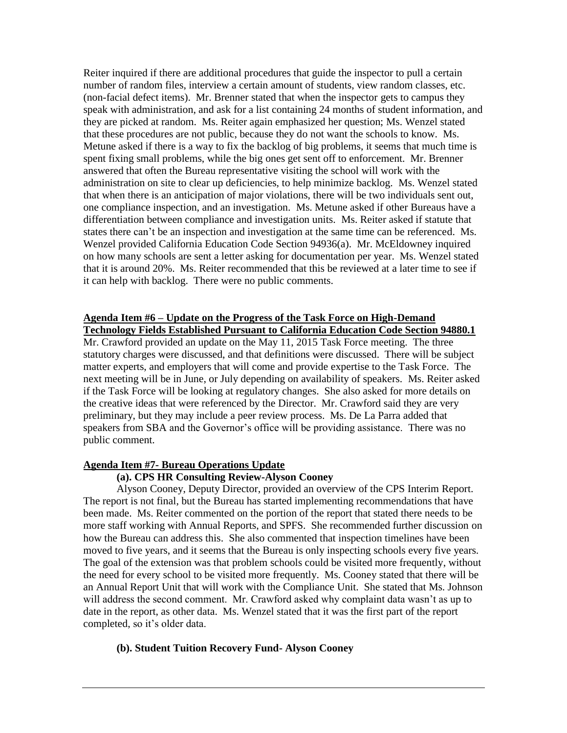they are picked at random. Ms. Reiter again emphasized her question; Ms. Wenzel stated that these procedures are not public, because they do not want the schools to know. Ms. Metune asked if there is a way to fix the backlog of big problems, it seems that much time is differentiation between compliance and investigation units. Ms. Reiter asked if statute that states there can't be an inspection and investigation at the same time can be referenced. Ms. on how many schools are sent a letter asking for documentation per year. Ms. Wenzel stated that it is around 20%. Ms. Reiter recommended that this be reviewed at a later time to see if it can help with backlog. There were no public comments. Reiter inquired if there are additional procedures that guide the inspector to pull a certain number of random files, interview a certain amount of students, view random classes, etc. (non-facial defect items). Mr. Brenner stated that when the inspector gets to campus they speak with administration, and ask for a list containing 24 months of student information, and spent fixing small problems, while the big ones get sent off to enforcement. Mr. Brenner answered that often the Bureau representative visiting the school will work with the administration on site to clear up deficiencies, to help minimize backlog. Ms. Wenzel stated that when there is an anticipation of major violations, there will be two individuals sent out, one compliance inspection, and an investigation. Ms. Metune asked if other Bureaus have a Wenzel provided California Education Code Section 94936(a). Mr. McEldowney inquired

#### **Agenda Item #6 – Update on the Progress of the Task Force on High-Demand Technology Fields Established Pursuant to California Education Code Section 94880.1**

 preliminary, but they may include a peer review process. Ms. De La Parra added that speakers from SBA and the Governor's office will be providing assistance. There was no public comment. Mr. Crawford provided an update on the May 11, 2015 Task Force meeting. The three statutory charges were discussed, and that definitions were discussed. There will be subject matter experts, and employers that will come and provide expertise to the Task Force. The next meeting will be in June, or July depending on availability of speakers. Ms. Reiter asked if the Task Force will be looking at regulatory changes. She also asked for more details on the creative ideas that were referenced by the Director. Mr. Crawford said they are very

#### **Agenda Item #7- Bureau Operations Update**

#### **(a). CPS HR Consulting Review-Alyson Cooney**

 moved to five years, and it seems that the Bureau is only inspecting schools every five years. The goal of the extension was that problem schools could be visited more frequently, without the need for every school to be visited more frequently. Ms. Cooney stated that there will be an Annual Report Unit that will work with the Compliance Unit. She stated that Ms. Johnson Alyson Cooney, Deputy Director, provided an overview of the CPS Interim Report. The report is not final, but the Bureau has started implementing recommendations that have been made. Ms. Reiter commented on the portion of the report that stated there needs to be more staff working with Annual Reports, and SPFS. She recommended further discussion on how the Bureau can address this. She also commented that inspection timelines have been will address the second comment. Mr. Crawford asked why complaint data wasn't as up to date in the report, as other data. Ms. Wenzel stated that it was the first part of the report completed, so it's older data.

#### **(b). Student Tuition Recovery Fund- Alyson Cooney**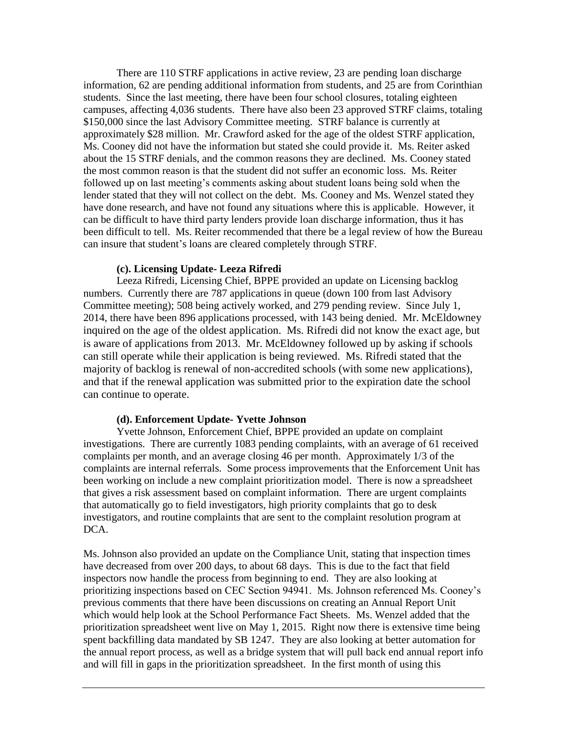\$150,000 since the last Advisory Committee meeting. STRF balance is currently at the most common reason is that the student did not suffer an economic loss. Ms. Reiter been difficult to tell. Ms. Reiter recommended that there be a legal review of how the Bureau can insure that student's loans are cleared completely through STRF. There are 110 STRF applications in active review, 23 are pending loan discharge information, 62 are pending additional information from students, and 25 are from Corinthian students. Since the last meeting, there have been four school closures, totaling eighteen campuses, affecting 4,036 students. There have also been 23 approved STRF claims, totaling approximately \$28 million. Mr. Crawford asked for the age of the oldest STRF application, Ms. Cooney did not have the information but stated she could provide it. Ms. Reiter asked about the 15 STRF denials, and the common reasons they are declined. Ms. Cooney stated followed up on last meeting's comments asking about student loans being sold when the lender stated that they will not collect on the debt. Ms. Cooney and Ms. Wenzel stated they have done research, and have not found any situations where this is applicable. However, it can be difficult to have third party lenders provide loan discharge information, thus it has

#### **(c). Licensing Update- Leeza Rifredi**

 Leeza Rifredi, Licensing Chief, BPPE provided an update on Licensing backlog numbers. Currently there are 787 applications in queue (down 100 from last Advisory inquired on the age of the oldest application. Ms. Rifredi did not know the exact age, but can still operate while their application is being reviewed. Ms. Rifredi stated that the Committee meeting); 508 being actively worked, and 279 pending review. Since July 1, 2014, there have been 896 applications processed, with 143 being denied. Mr. McEldowney is aware of applications from 2013. Mr. McEldowney followed up by asking if schools majority of backlog is renewal of non-accredited schools (with some new applications), and that if the renewal application was submitted prior to the expiration date the school can continue to operate.

#### **(d). Enforcement Update- Yvette Johnson**

 investigations. There are currently 1083 pending complaints, with an average of 61 received complaints are internal referrals. Some process improvements that the Enforcement Unit has been working on include a new complaint prioritization model. There is now a spreadsheet that automatically go to field investigators, high priority complaints that go to desk investigators, and routine complaints that are sent to the complaint resolution program at Yvette Johnson, Enforcement Chief, BPPE provided an update on complaint complaints per month, and an average closing 46 per month. Approximately 1/3 of the that gives a risk assessment based on complaint information. There are urgent complaints DCA.

 inspectors now handle the process from beginning to end. They are also looking at previous comments that there have been discussions on creating an Annual Report Unit and will fill in gaps in the prioritization spreadsheet. In the first month of using this Ms. Johnson also provided an update on the Compliance Unit, stating that inspection times have decreased from over 200 days, to about 68 days. This is due to the fact that field prioritizing inspections based on CEC Section 94941. Ms. Johnson referenced Ms. Cooney's which would help look at the School Performance Fact Sheets. Ms. Wenzel added that the prioritization spreadsheet went live on May 1, 2015. Right now there is extensive time being spent backfilling data mandated by SB 1247. They are also looking at better automation for the annual report process, as well as a bridge system that will pull back end annual report info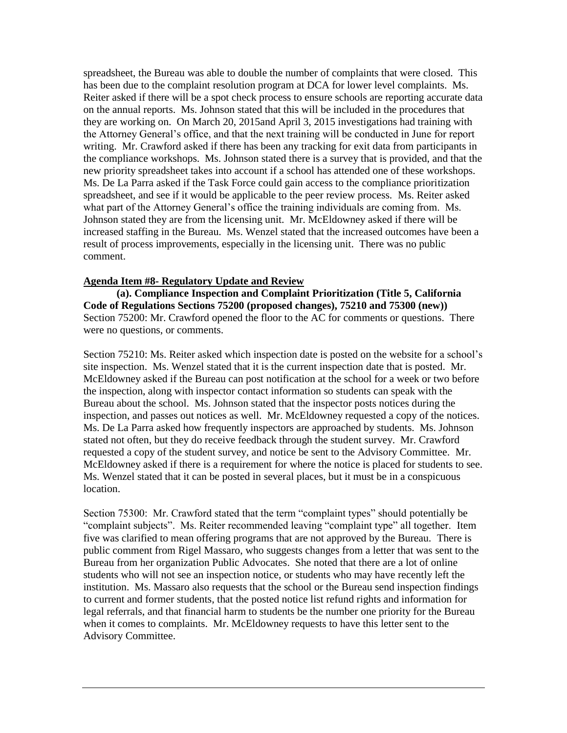has been due to the complaint resolution program at DCA for lower level complaints. Ms. the Attorney General's office, and that the next training will be conducted in June for report the compliance workshops. Ms. Johnson stated there is a survey that is provided, and that the new priority spreadsheet takes into account if a school has attended one of these workshops. spreadsheet, and see if it would be applicable to the peer review process. Ms. Reiter asked Johnson stated they are from the licensing unit. Mr. McEldowney asked if there will be increased staffing in the Bureau. Ms. Wenzel stated that the increased outcomes have been a spreadsheet, the Bureau was able to double the number of complaints that were closed. This Reiter asked if there will be a spot check process to ensure schools are reporting accurate data on the annual reports. Ms. Johnson stated that this will be included in the procedures that they are working on. On March 20, 2015and April 3, 2015 investigations had training with writing. Mr. Crawford asked if there has been any tracking for exit data from participants in Ms. De La Parra asked if the Task Force could gain access to the compliance prioritization what part of the Attorney General's office the training individuals are coming from. Ms. result of process improvements, especially in the licensing unit. There was no public comment.

#### **Agenda Item #8- Regulatory Update and Review**

**(a). Compliance Inspection and Complaint Prioritization (Title 5, California Code of Regulations Sections 75200 (proposed changes), 75210 and 75300 (new))**  Section 75200: Mr. Crawford opened the floor to the AC for comments or questions. There were no questions, or comments.

 site inspection. Ms. Wenzel stated that it is the current inspection date that is posted. Mr. Ms. Wenzel stated that it can be posted in several places, but it must be in a conspicuous Section 75210: Ms. Reiter asked which inspection date is posted on the website for a school's McEldowney asked if the Bureau can post notification at the school for a week or two before the inspection, along with inspector contact information so students can speak with the Bureau about the school. Ms. Johnson stated that the inspector posts notices during the inspection, and passes out notices as well. Mr. McEldowney requested a copy of the notices. Ms. De La Parra asked how frequently inspectors are approached by students. Ms. Johnson stated not often, but they do receive feedback through the student survey. Mr. Crawford requested a copy of the student survey, and notice be sent to the Advisory Committee. Mr. McEldowney asked if there is a requirement for where the notice is placed for students to see. location.

 Section 75300: Mr. Crawford stated that the term "complaint types" should potentially be "complaint subjects". Ms. Reiter recommended leaving "complaint type" all together. Item five was clarified to mean offering programs that are not approved by the Bureau. There is Bureau from her organization Public Advocates. She noted that there are a lot of online institution. Ms. Massaro also requests that the school or the Bureau send inspection findings legal referrals, and that financial harm to students be the number one priority for the Bureau public comment from Rigel Massaro, who suggests changes from a letter that was sent to the students who will not see an inspection notice, or students who may have recently left the to current and former students, that the posted notice list refund rights and information for when it comes to complaints. Mr. McEldowney requests to have this letter sent to the Advisory Committee.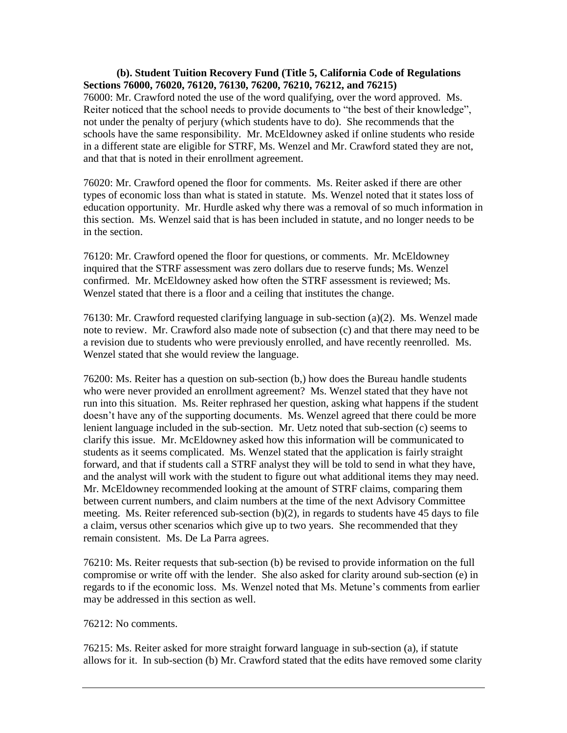not under the penalty of perjury (which students have to do). She recommends that the **(b). Student Tuition Recovery Fund (Title 5, California Code of Regulations Sections 76000, 76020, 76120, 76130, 76200, 76210, 76212, and 76215)**  76000: Mr. Crawford noted the use of the word qualifying, over the word approved. Ms. Reiter noticed that the school needs to provide documents to "the best of their knowledge", schools have the same responsibility. Mr. McEldowney asked if online students who reside in a different state are eligible for STRF, Ms. Wenzel and Mr. Crawford stated they are not, and that that is noted in their enrollment agreement.

 types of economic loss than what is stated in statute. Ms. Wenzel noted that it states loss of 76020: Mr. Crawford opened the floor for comments. Ms. Reiter asked if there are other education opportunity. Mr. Hurdle asked why there was a removal of so much information in this section. Ms. Wenzel said that is has been included in statute, and no longer needs to be in the section.

 Wenzel stated that there is a floor and a ceiling that institutes the change. 76120: Mr. Crawford opened the floor for questions, or comments. Mr. McEldowney inquired that the STRF assessment was zero dollars due to reserve funds; Ms. Wenzel confirmed. Mr. McEldowney asked how often the STRF assessment is reviewed; Ms.

 note to review. Mr. Crawford also made note of subsection (c) and that there may need to be a revision due to students who were previously enrolled, and have recently reenrolled. Ms. 76130: Mr. Crawford requested clarifying language in sub-section (a)(2). Ms. Wenzel made Wenzel stated that she would review the language.

 who were never provided an enrollment agreement? Ms. Wenzel stated that they have not doesn't have any of the supporting documents. Ms. Wenzel agreed that there could be more students as it seems complicated. Ms. Wenzel stated that the application is fairly straight forward, and that if students call a STRF analyst they will be told to send in what they have, Mr. McEldowney recommended looking at the amount of STRF claims, comparing them between current numbers, and claim numbers at the time of the next Advisory Committee a claim, versus other scenarios which give up to two years. She recommended that they remain consistent. Ms. De La Parra agrees. 76200: Ms. Reiter has a question on sub-section (b,) how does the Bureau handle students run into this situation. Ms. Reiter rephrased her question, asking what happens if the student lenient language included in the sub-section. Mr. Uetz noted that sub-section (c) seems to clarify this issue. Mr. McEldowney asked how this information will be communicated to and the analyst will work with the student to figure out what additional items they may need. meeting. Ms. Reiter referenced sub-section (b)(2), in regards to students have 45 days to file

 may be addressed in this section as well. 76212: No comments. 76210: Ms. Reiter requests that sub-section (b) be revised to provide information on the full compromise or write off with the lender. She also asked for clarity around sub-section (e) in regards to if the economic loss. Ms. Wenzel noted that Ms. Metune's comments from earlier

 allows for it. In sub-section (b) Mr. Crawford stated that the edits have removed some clarity 76215: Ms. Reiter asked for more straight forward language in sub-section (a), if statute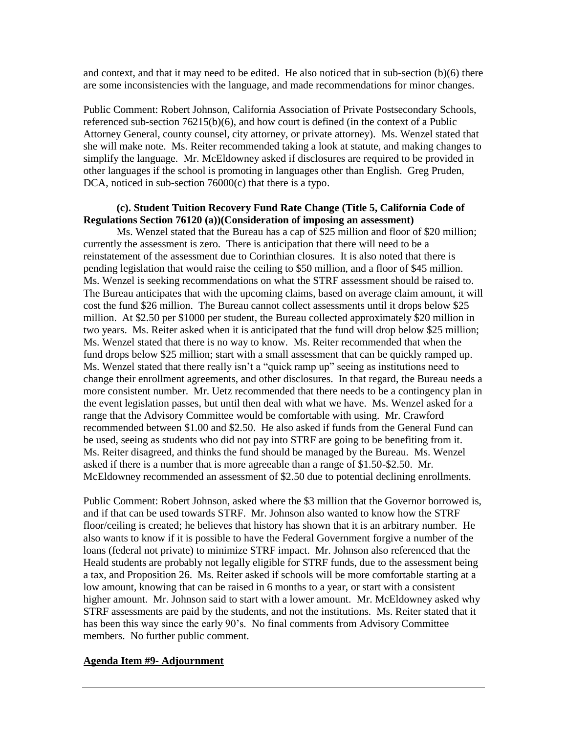and context, and that it may need to be edited. He also noticed that in sub-section (b)(6) there are some inconsistencies with the language, and made recommendations for minor changes.

Public Comment: Robert Johnson, California Association of Private Postsecondary Schools, referenced sub-section 76215(b)(6), and how court is defined (in the context of a Public Attorney General, county counsel, city attorney, or private attorney). Ms. Wenzel stated that she will make note. Ms. Reiter recommended taking a look at statute, and making changes to simplify the language. Mr. McEldowney asked if disclosures are required to be provided in other languages if the school is promoting in languages other than English. Greg Pruden, DCA, noticed in sub-section 76000(c) that there is a typo.

### **(c). Student Tuition Recovery Fund Rate Change (Title 5, California Code of Regulations Section 76120 (a))(Consideration of imposing an assessment)**

pending legislation that would raise the ceiling to \$50 million, and a floor of \$45 million. pending legislation that would raise the ceiling to \$50 million, and a floor of \$45 million. Ms. Wenzel is seeking recommendations on what the STRF assessment should be raised to. cost the fund \$26 million. The Bureau cannot collect assessments until it drops below \$25 Ms. Wenzel stated that there is no way to know. Ms. Reiter recommended that when the fund drops below \$25 million; start with a small assessment that can be quickly ramped up. more consistent number. Mr. Uetz recommended that there needs to be a contingency plan in Ms. Reiter disagreed, and thinks the fund should be managed by the Bureau. Ms. Wenzel asked if there is a number that is more agreeable than a range of \$1.50-\$2.50. Mr. Ms. Wenzel stated that the Bureau has a cap of \$25 million and floor of \$20 million; currently the assessment is zero. There is anticipation that there will need to be a reinstatement of the assessment due to Corinthian closures. It is also noted that there is The Bureau anticipates that with the upcoming claims, based on average claim amount, it will million. At \$2.50 per \$1000 per student, the Bureau collected approximately \$20 million in two years. Ms. Reiter asked when it is anticipated that the fund will drop below \$25 million; Ms. Wenzel stated that there really isn't a "quick ramp up" seeing as institutions need to change their enrollment agreements, and other disclosures. In that regard, the Bureau needs a the event legislation passes, but until then deal with what we have. Ms. Wenzel asked for a range that the Advisory Committee would be comfortable with using. Mr. Crawford recommended between \$1.00 and \$2.50. He also asked if funds from the General Fund can be used, seeing as students who did not pay into STRF are going to be benefiting from it. McEldowney recommended an assessment of \$2.50 due to potential declining enrollments.

 and if that can be used towards STRF. Mr. Johnson also wanted to know how the STRF floor/ceiling is created; he believes that history has shown that it is an arbitrary number. He loans (federal not private) to minimize STRF impact. Mr. Johnson also referenced that the Heald students are probably not legally eligible for STRF funds, due to the assessment being Public Comment: Robert Johnson, asked where the \$3 million that the Governor borrowed is, also wants to know if it is possible to have the Federal Government forgive a number of the a tax, and Proposition 26. Ms. Reiter asked if schools will be more comfortable starting at a low amount, knowing that can be raised in 6 months to a year, or start with a consistent higher amount. Mr. Johnson said to start with a lower amount. Mr. McEldowney asked why STRF assessments are paid by the students, and not the institutions. Ms. Reiter stated that it has been this way since the early 90's. No final comments from Advisory Committee members. No further public comment.

#### **Agenda Item #9- Adjournment**